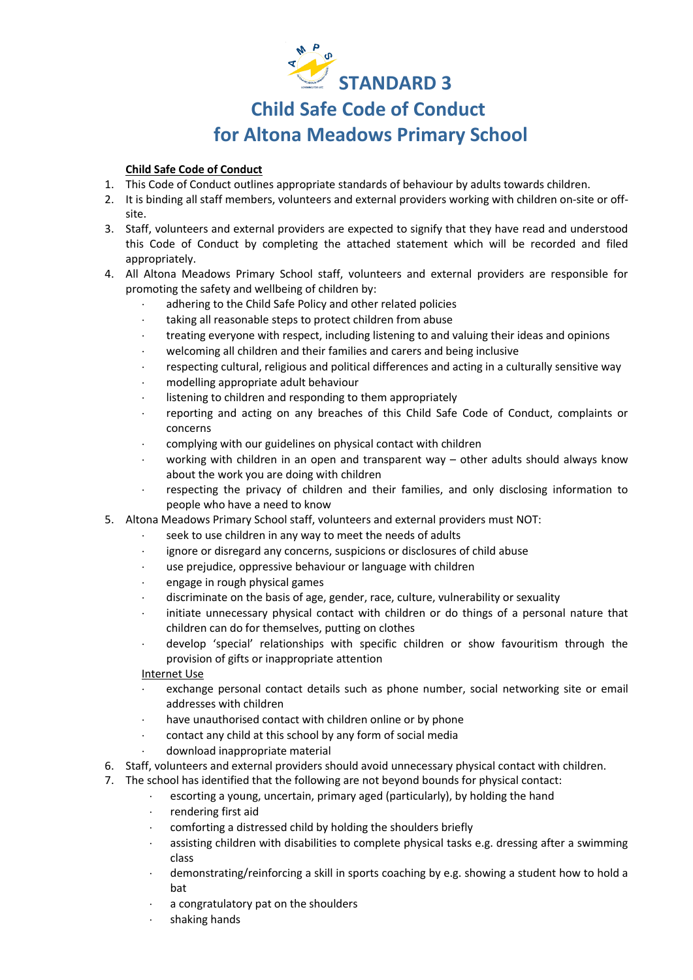

# **Child Safe Code of Conduct**

## **for Altona Meadows Primary School**

### **Child Safe Code of Conduct**

- 1. This Code of Conduct outlines appropriate standards of behaviour by adults towards children.
- 2. It is binding all staff members, volunteers and external providers working with children on-site or offsite.
- 3. Staff, volunteers and external providers are expected to signify that they have read and understood this Code of Conduct by completing the attached statement which will be recorded and filed appropriately.
- 4. All Altona Meadows Primary School staff, volunteers and external providers are responsible for promoting the safety and wellbeing of children by:
	- adhering to the Child Safe Policy and other related policies
	- taking all reasonable steps to protect children from abuse
	- treating everyone with respect, including listening to and valuing their ideas and opinions
	- welcoming all children and their families and carers and being inclusive
	- respecting cultural, religious and political differences and acting in a culturally sensitive way
	- modelling appropriate adult behaviour
	- listening to children and responding to them appropriately
	- reporting and acting on any breaches of this Child Safe Code of Conduct, complaints or concerns
	- complying with our guidelines on physical contact with children
	- working with children in an open and transparent way other adults should always know about the work you are doing with children
	- respecting the privacy of children and their families, and only disclosing information to people who have a need to know
- 5. Altona Meadows Primary School staff, volunteers and external providers must NOT:
	- seek to use children in any way to meet the needs of adults
	- ignore or disregard any concerns, suspicions or disclosures of child abuse
	- use prejudice, oppressive behaviour or language with children
	- engage in rough physical games
	- discriminate on the basis of age, gender, race, culture, vulnerability or sexuality
	- initiate unnecessary physical contact with children or do things of a personal nature that children can do for themselves, putting on clothes
	- develop 'special' relationships with specific children or show favouritism through the provision of gifts or inappropriate attention

#### Internet Use

- exchange personal contact details such as phone number, social networking site or email addresses with children
- have unauthorised contact with children online or by phone
- contact any child at this school by any form of social media
- download inappropriate material
- 6. Staff, volunteers and external providers should avoid unnecessary physical contact with children.
- 7. The school has identified that the following are not beyond bounds for physical contact:
	- escorting a young, uncertain, primary aged (particularly), by holding the hand
	- rendering first aid
	- comforting a distressed child by holding the shoulders briefly
	- assisting children with disabilities to complete physical tasks e.g. dressing after a swimming class
	- demonstrating/reinforcing a skill in sports coaching by e.g. showing a student how to hold a bat
	- a congratulatory pat on the shoulders
	- shaking hands